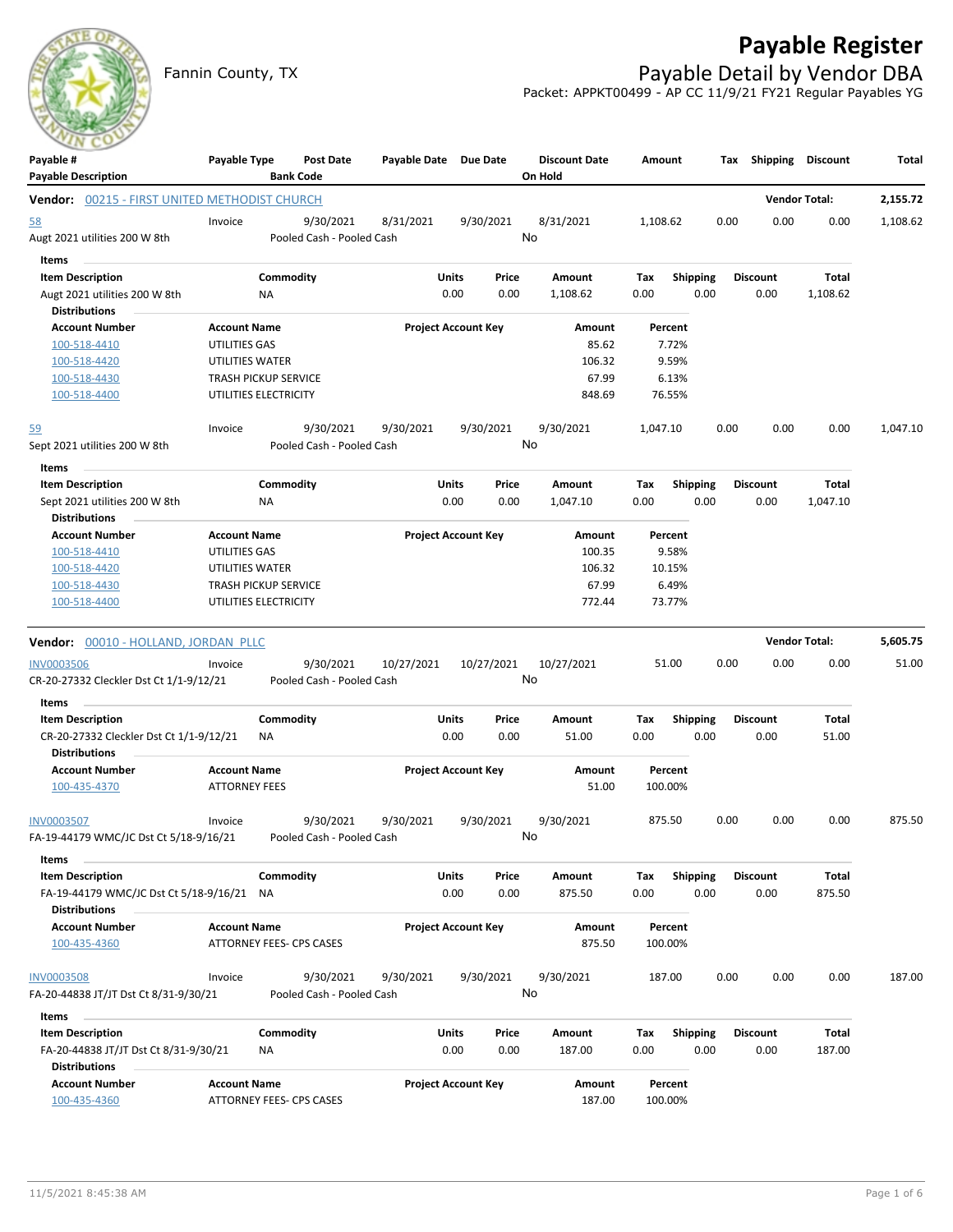# **Payable Register**



### Fannin County, TX **Payable Detail by Vendor DBA** Packet: APPKT00499 - AP CC 11/9/21 FY21 Regular Payables YG

| Payable #<br><b>Payable Description</b>               | Payable Type                | <b>Bank Code</b>         | Post Date                 | Payable Date Due Date      |           |            | <b>Discount Date</b><br>On Hold | Amount             |                 |      | Tax Shipping Discount |          | Total    |
|-------------------------------------------------------|-----------------------------|--------------------------|---------------------------|----------------------------|-----------|------------|---------------------------------|--------------------|-----------------|------|-----------------------|----------|----------|
| <b>Vendor:</b> 00215 - FIRST UNITED METHODIST CHURCH  |                             |                          |                           |                            |           |            |                                 |                    |                 |      | <b>Vendor Total:</b>  |          | 2,155.72 |
| <u>58</u>                                             | Invoice                     |                          | 9/30/2021                 | 8/31/2021                  | 9/30/2021 |            | 8/31/2021                       | 1,108.62           |                 | 0.00 | 0.00                  | 0.00     | 1,108.62 |
| Augt 2021 utilities 200 W 8th                         |                             |                          | Pooled Cash - Pooled Cash |                            |           |            | No                              |                    |                 |      |                       |          |          |
| Items                                                 |                             |                          |                           |                            |           |            |                                 |                    |                 |      |                       |          |          |
| <b>Item Description</b>                               |                             | Commodity                |                           |                            | Units     | Price      | Amount                          | Тах                | <b>Shipping</b> |      | <b>Discount</b>       | Total    |          |
| Augt 2021 utilities 200 W 8th<br><b>Distributions</b> | ΝA                          |                          |                           |                            | 0.00      | 0.00       | 1,108.62                        | 0.00               | 0.00            |      | 0.00                  | 1,108.62 |          |
| <b>Account Number</b>                                 | <b>Account Name</b>         |                          |                           | <b>Project Account Key</b> |           |            | Amount                          | Percent            |                 |      |                       |          |          |
| 100-518-4410                                          | UTILITIES GAS               |                          |                           |                            |           |            | 85.62                           |                    | 7.72%           |      |                       |          |          |
| 100-518-4420                                          | UTILITIES WATER             |                          |                           |                            |           |            | 106.32                          |                    | 9.59%           |      |                       |          |          |
| 100-518-4430                                          | <b>TRASH PICKUP SERVICE</b> |                          |                           |                            |           |            | 67.99                           |                    | 6.13%           |      |                       |          |          |
| 100-518-4400                                          | UTILITIES ELECTRICITY       |                          |                           |                            |           |            | 848.69                          | 76.55%             |                 |      |                       |          |          |
| <u>59</u>                                             | Invoice                     |                          | 9/30/2021                 | 9/30/2021                  | 9/30/2021 |            | 9/30/2021                       | 1,047.10           |                 | 0.00 | 0.00                  | 0.00     | 1,047.10 |
| Sept 2021 utilities 200 W 8th                         |                             |                          | Pooled Cash - Pooled Cash |                            |           |            | No                              |                    |                 |      |                       |          |          |
| Items                                                 |                             |                          |                           |                            |           |            |                                 |                    |                 |      |                       |          |          |
| <b>Item Description</b>                               |                             | Commodity                |                           |                            | Units     | Price      | Amount                          | Tax                | <b>Shipping</b> |      | <b>Discount</b>       | Total    |          |
| Sept 2021 utilities 200 W 8th                         | ΝA                          |                          |                           |                            | 0.00      | 0.00       | 1,047.10                        | 0.00               | 0.00            |      | 0.00                  | 1,047.10 |          |
| <b>Distributions</b>                                  |                             |                          |                           |                            |           |            |                                 |                    |                 |      |                       |          |          |
| <b>Account Number</b>                                 | <b>Account Name</b>         |                          |                           | <b>Project Account Key</b> |           |            | Amount                          | Percent            |                 |      |                       |          |          |
| 100-518-4410                                          | UTILITIES GAS               |                          |                           |                            |           |            | 100.35                          |                    | 9.58%           |      |                       |          |          |
| 100-518-4420                                          | UTILITIES WATER             |                          |                           |                            |           |            | 106.32                          | 10.15%             |                 |      |                       |          |          |
| 100-518-4430                                          | <b>TRASH PICKUP SERVICE</b> |                          |                           |                            |           |            | 67.99                           |                    | 6.49%           |      |                       |          |          |
| 100-518-4400                                          | UTILITIES ELECTRICITY       |                          |                           |                            |           |            | 772.44                          | 73.77%             |                 |      |                       |          |          |
| Vendor: 00010 - HOLLAND, JORDAN PLLC                  |                             |                          |                           |                            |           |            |                                 |                    |                 |      | <b>Vendor Total:</b>  |          | 5,605.75 |
| <b>INV0003506</b>                                     | Invoice                     |                          | 9/30/2021                 | 10/27/2021                 |           | 10/27/2021 | 10/27/2021                      | 51.00              |                 | 0.00 | 0.00                  | 0.00     | 51.00    |
| CR-20-27332 Cleckler Dst Ct 1/1-9/12/21               |                             |                          | Pooled Cash - Pooled Cash |                            |           |            | No                              |                    |                 |      |                       |          |          |
| <b>Items</b>                                          |                             |                          |                           |                            |           |            |                                 |                    |                 |      |                       |          |          |
| <b>Item Description</b>                               |                             | Commodity                |                           |                            | Units     | Price      | Amount                          | Tax                | <b>Shipping</b> |      | <b>Discount</b>       | Total    |          |
| CR-20-27332 Cleckler Dst Ct 1/1-9/12/21               | ΝA                          |                          |                           |                            | 0.00      | 0.00       | 51.00                           | 0.00               | 0.00            |      | 0.00                  | 51.00    |          |
| <b>Distributions</b>                                  |                             |                          |                           |                            |           |            |                                 |                    |                 |      |                       |          |          |
| <b>Account Number</b>                                 | <b>Account Name</b>         |                          |                           | <b>Project Account Key</b> |           |            | Amount                          | Percent            |                 |      |                       |          |          |
| 100-435-4370                                          | <b>ATTORNEY FEES</b>        |                          |                           |                            |           |            | 51.00                           | 100.00%            |                 |      |                       |          |          |
| <b>INV0003507</b>                                     | Invoice                     |                          | 9/30/2021                 | 9/30/2021                  | 9/30/2021 |            | 9/30/2021                       | 875.50             |                 | 0.00 | 0.00                  | 0.00     | 875.50   |
| FA-19-44179 WMC/JC Dst Ct 5/18-9/16/21                |                             |                          | Pooled Cash - Pooled Cash |                            |           |            | No                              |                    |                 |      |                       |          |          |
| Items                                                 |                             |                          |                           |                            |           |            |                                 |                    |                 |      |                       |          |          |
| <b>Item Description</b>                               |                             | Commodity                |                           |                            | Units     | Price      | Amount                          | Tax                | <b>Shipping</b> |      | <b>Discount</b>       | Total    |          |
| FA-19-44179 WMC/JC Dst Ct 5/18-9/16/21                | ΝA                          |                          |                           |                            | 0.00      | 0.00       | 875.50                          | 0.00               | 0.00            |      | 0.00                  | 875.50   |          |
| <b>Distributions</b>                                  |                             |                          |                           |                            |           |            |                                 |                    |                 |      |                       |          |          |
| <b>Account Number</b>                                 | <b>Account Name</b>         |                          |                           | <b>Project Account Key</b> |           |            | Amount                          | Percent            |                 |      |                       |          |          |
| 100-435-4360                                          |                             | ATTORNEY FEES- CPS CASES |                           |                            |           |            | 875.50                          | 100.00%            |                 |      |                       |          |          |
|                                                       |                             |                          |                           |                            |           |            |                                 |                    |                 |      |                       |          |          |
| <b>INV0003508</b>                                     | Invoice                     |                          | 9/30/2021                 | 9/30/2021                  | 9/30/2021 |            | 9/30/2021                       | 187.00             |                 | 0.00 | 0.00                  | 0.00     | 187.00   |
| FA-20-44838 JT/JT Dst Ct 8/31-9/30/21                 |                             |                          | Pooled Cash - Pooled Cash |                            |           |            | No                              |                    |                 |      |                       |          |          |
| Items                                                 |                             |                          |                           |                            |           |            |                                 |                    |                 |      |                       |          |          |
| <b>Item Description</b>                               |                             | Commodity                |                           |                            | Units     | Price      | Amount                          | Тах                | <b>Shipping</b> |      | <b>Discount</b>       | Total    |          |
| FA-20-44838 JT/JT Dst Ct 8/31-9/30/21                 | ΝA                          |                          |                           |                            | 0.00      | 0.00       | 187.00                          | 0.00               | 0.00            |      | 0.00                  | 187.00   |          |
| Distributions                                         |                             |                          |                           |                            |           |            |                                 |                    |                 |      |                       |          |          |
| <b>Account Number</b><br>100-435-4360                 | <b>Account Name</b>         | ATTORNEY FEES- CPS CASES |                           | <b>Project Account Key</b> |           |            | Amount<br>187.00                | Percent<br>100.00% |                 |      |                       |          |          |
|                                                       |                             |                          |                           |                            |           |            |                                 |                    |                 |      |                       |          |          |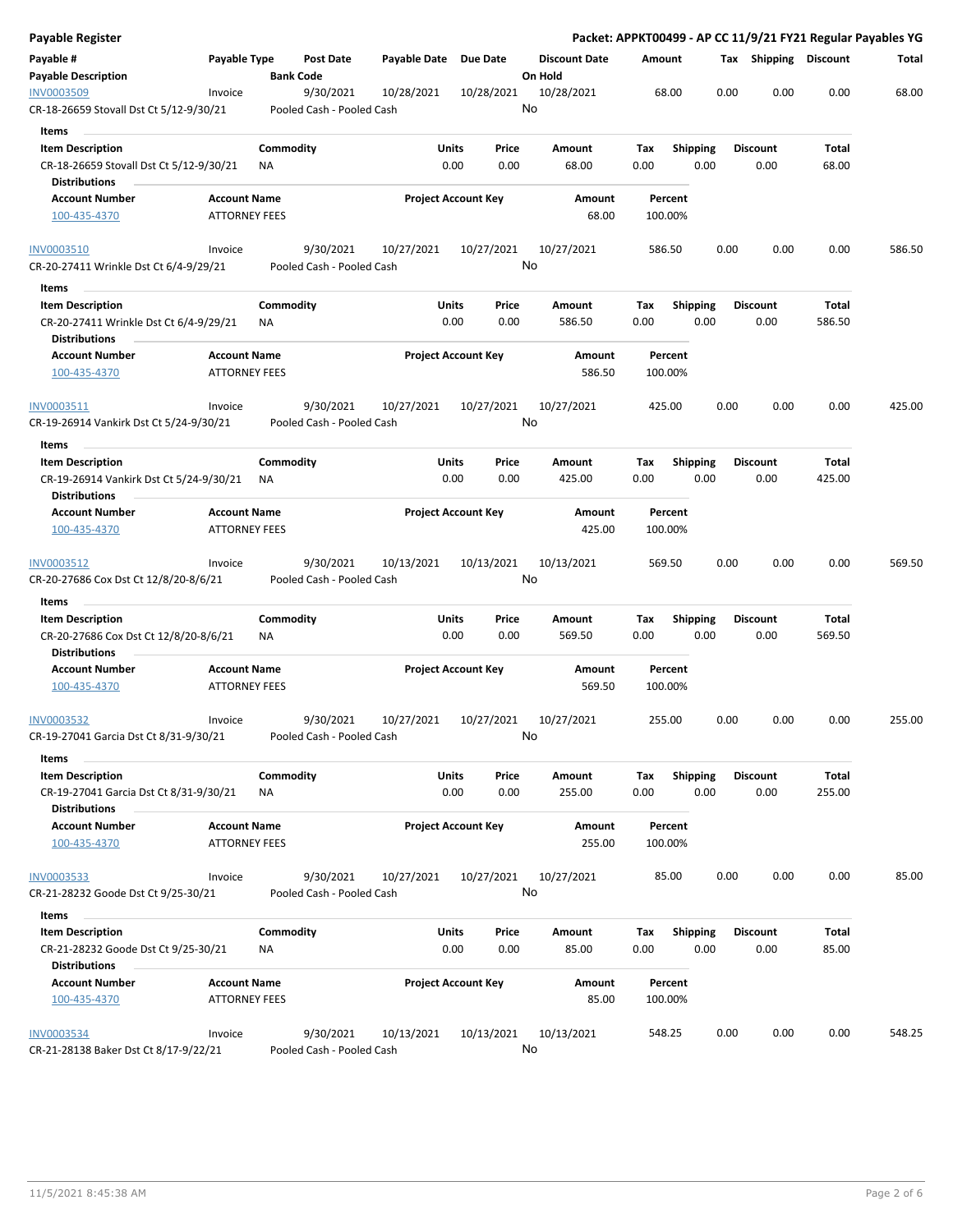| Payable Register                                                                       |                                             |                 |                                        |                       |                            |    |                                 |             |                 |      | Packet: APPKT00499 - AP CC 11/9/21 FY21 Regular Payables YG |                |        |
|----------------------------------------------------------------------------------------|---------------------------------------------|-----------------|----------------------------------------|-----------------------|----------------------------|----|---------------------------------|-------------|-----------------|------|-------------------------------------------------------------|----------------|--------|
| Payable #<br><b>Payable Description</b>                                                | Payable Type                                |                 | Post Date<br><b>Bank Code</b>          | Payable Date Due Date |                            |    | <b>Discount Date</b><br>On Hold | Amount      |                 |      | Tax Shipping Discount                                       |                | Total  |
| INV0003509                                                                             | Invoice                                     |                 | 9/30/2021                              | 10/28/2021            | 10/28/2021                 |    | 10/28/2021                      |             | 68.00           | 0.00 | 0.00                                                        | 0.00           | 68.00  |
| CR-18-26659 Stovall Dst Ct 5/12-9/30/21                                                |                                             |                 | Pooled Cash - Pooled Cash              |                       |                            | No |                                 |             |                 |      |                                                             |                |        |
| Items                                                                                  |                                             |                 |                                        |                       |                            |    |                                 |             |                 |      |                                                             |                |        |
| <b>Item Description</b>                                                                |                                             | Commodity       |                                        | Units                 | Price                      |    | Amount                          | Tax         | <b>Shipping</b> |      | <b>Discount</b>                                             | Total          |        |
| CR-18-26659 Stovall Dst Ct 5/12-9/30/21<br><b>Distributions</b>                        |                                             | ΝA              |                                        | 0.00                  | 0.00                       |    | 68.00                           | 0.00        |                 | 0.00 | 0.00                                                        | 68.00          |        |
| <b>Account Number</b>                                                                  | <b>Account Name</b>                         |                 |                                        |                       | <b>Project Account Key</b> |    | Amount                          |             | Percent         |      |                                                             |                |        |
| 100-435-4370                                                                           | <b>ATTORNEY FEES</b>                        |                 |                                        |                       |                            |    | 68.00                           | 100.00%     |                 |      |                                                             |                |        |
| <b>INV0003510</b>                                                                      | Invoice                                     |                 | 9/30/2021                              | 10/27/2021            | 10/27/2021                 |    | 10/27/2021                      | 586.50      |                 | 0.00 | 0.00                                                        | 0.00           | 586.50 |
| CR-20-27411 Wrinkle Dst Ct 6/4-9/29/21<br>Items                                        |                                             |                 | Pooled Cash - Pooled Cash              |                       |                            | No |                                 |             |                 |      |                                                             |                |        |
| <b>Item Description</b>                                                                |                                             | Commodity       |                                        | Units                 | Price                      |    | Amount                          | Тах         | <b>Shipping</b> |      | <b>Discount</b>                                             | Total          |        |
| CR-20-27411 Wrinkle Dst Ct 6/4-9/29/21<br><b>Distributions</b>                         |                                             | ΝA              |                                        | 0.00                  | 0.00                       |    | 586.50                          | 0.00        |                 | 0.00 | 0.00                                                        | 586.50         |        |
| <b>Account Number</b><br>100-435-4370                                                  | <b>Account Name</b><br><b>ATTORNEY FEES</b> |                 |                                        |                       | <b>Project Account Key</b> |    | Amount<br>586.50                | 100.00%     | Percent         |      |                                                             |                |        |
| INV0003511                                                                             | Invoice                                     |                 | 9/30/2021                              | 10/27/2021            | 10/27/2021                 |    | 10/27/2021                      | 425.00      |                 | 0.00 | 0.00                                                        | 0.00           | 425.00 |
| CR-19-26914 Vankirk Dst Ct 5/24-9/30/21                                                |                                             |                 | Pooled Cash - Pooled Cash              |                       |                            | No |                                 |             |                 |      |                                                             |                |        |
| Items                                                                                  |                                             |                 |                                        |                       |                            |    |                                 |             |                 |      |                                                             |                |        |
| <b>Item Description</b>                                                                |                                             | Commodity       |                                        | Units                 | Price                      |    | Amount                          | Tax         | <b>Shipping</b> |      | <b>Discount</b>                                             | Total          |        |
| CR-19-26914 Vankirk Dst Ct 5/24-9/30/21<br><b>Distributions</b>                        |                                             | ΝA              |                                        |                       | 0.00<br>0.00               |    | 425.00                          | 0.00        |                 | 0.00 | 0.00                                                        | 425.00         |        |
| <b>Account Number</b>                                                                  | <b>Account Name</b>                         |                 |                                        |                       | <b>Project Account Key</b> |    | Amount                          |             | Percent         |      |                                                             |                |        |
| 100-435-4370                                                                           | <b>ATTORNEY FEES</b>                        |                 |                                        |                       |                            |    | 425.00                          | 100.00%     |                 |      |                                                             |                |        |
| INV0003512<br>CR-20-27686 Cox Dst Ct 12/8/20-8/6/21                                    | Invoice                                     |                 | 9/30/2021<br>Pooled Cash - Pooled Cash | 10/13/2021            | 10/13/2021                 | No | 10/13/2021                      | 569.50      |                 | 0.00 | 0.00                                                        | 0.00           | 569.50 |
| Items                                                                                  |                                             |                 |                                        |                       |                            |    |                                 |             |                 |      |                                                             |                |        |
| <b>Item Description</b>                                                                |                                             | Commodity       |                                        | Units                 | Price                      |    | Amount                          | Tax         | <b>Shipping</b> |      | <b>Discount</b>                                             | Total          |        |
| CR-20-27686 Cox Dst Ct 12/8/20-8/6/21<br><b>Distributions</b>                          |                                             | ΝA              |                                        |                       | 0.00<br>0.00               |    | 569.50                          | 0.00        |                 | 0.00 | 0.00                                                        | 569.50         |        |
| <b>Account Number</b>                                                                  | <b>Account Name</b>                         |                 |                                        |                       | <b>Project Account Key</b> |    | Amount                          |             | Percent         |      |                                                             |                |        |
| 100-435-4370                                                                           | <b>ATTORNEY FEES</b>                        |                 |                                        |                       |                            |    | 569.50                          | 100.00%     |                 |      |                                                             |                |        |
| INV0003532<br>CR-19-27041 Garcia Dst Ct 8/31-9/30/21                                   | Invoice                                     |                 | 9/30/2021<br>Pooled Cash - Pooled Cash | 10/27/2021            | 10/27/2021                 | No | 10/27/2021                      | 255.00      |                 | 0.00 | 0.00                                                        | 0.00           | 255.00 |
| Items<br><b>Item Description</b>                                                       |                                             | Commodity       |                                        | Units                 | Price                      |    | Amount                          | Tax         | Shipping        |      | <b>Discount</b>                                             | Total          |        |
| CR-19-27041 Garcia Dst Ct 8/31-9/30/21<br><b>Distributions</b>                         |                                             | ΝA              |                                        |                       | 0.00<br>0.00               |    | 255.00                          | 0.00        |                 | 0.00 | 0.00                                                        | 255.00         |        |
| <b>Account Number</b><br>100-435-4370                                                  | <b>Account Name</b><br><b>ATTORNEY FEES</b> |                 |                                        |                       | <b>Project Account Key</b> |    | Amount<br>255.00                | 100.00%     | Percent         |      |                                                             |                |        |
| INV0003533<br>CR-21-28232 Goode Dst Ct 9/25-30/21                                      | Invoice                                     |                 | 9/30/2021<br>Pooled Cash - Pooled Cash | 10/27/2021            | 10/27/2021                 | No | 10/27/2021                      |             | 85.00           | 0.00 | 0.00                                                        | 0.00           | 85.00  |
|                                                                                        |                                             |                 |                                        |                       |                            |    |                                 |             |                 |      |                                                             |                |        |
| Items                                                                                  |                                             |                 |                                        |                       |                            |    |                                 |             |                 |      |                                                             |                |        |
| <b>Item Description</b><br>CR-21-28232 Goode Dst Ct 9/25-30/21<br><b>Distributions</b> |                                             | Commodity<br>ΝA |                                        | Units<br>0.00         | Price<br>0.00              |    | Amount<br>85.00                 | Тах<br>0.00 | <b>Shipping</b> | 0.00 | <b>Discount</b><br>0.00                                     | Total<br>85.00 |        |
| <b>Account Number</b>                                                                  | <b>Account Name</b>                         |                 |                                        |                       | <b>Project Account Key</b> |    | Amount                          |             | Percent         |      |                                                             |                |        |
| 100-435-4370                                                                           | <b>ATTORNEY FEES</b>                        |                 |                                        |                       |                            |    | 85.00                           | 100.00%     |                 |      |                                                             |                |        |
| <b>INV0003534</b>                                                                      | Invoice                                     |                 | 9/30/2021                              | 10/13/2021            | 10/13/2021                 |    | 10/13/2021                      | 548.25      |                 | 0.00 | 0.00                                                        | 0.00           | 548.25 |
| CR-21-28138 Baker Dst Ct 8/17-9/22/21                                                  |                                             |                 | Pooled Cash - Pooled Cash              |                       |                            | No |                                 |             |                 |      |                                                             |                |        |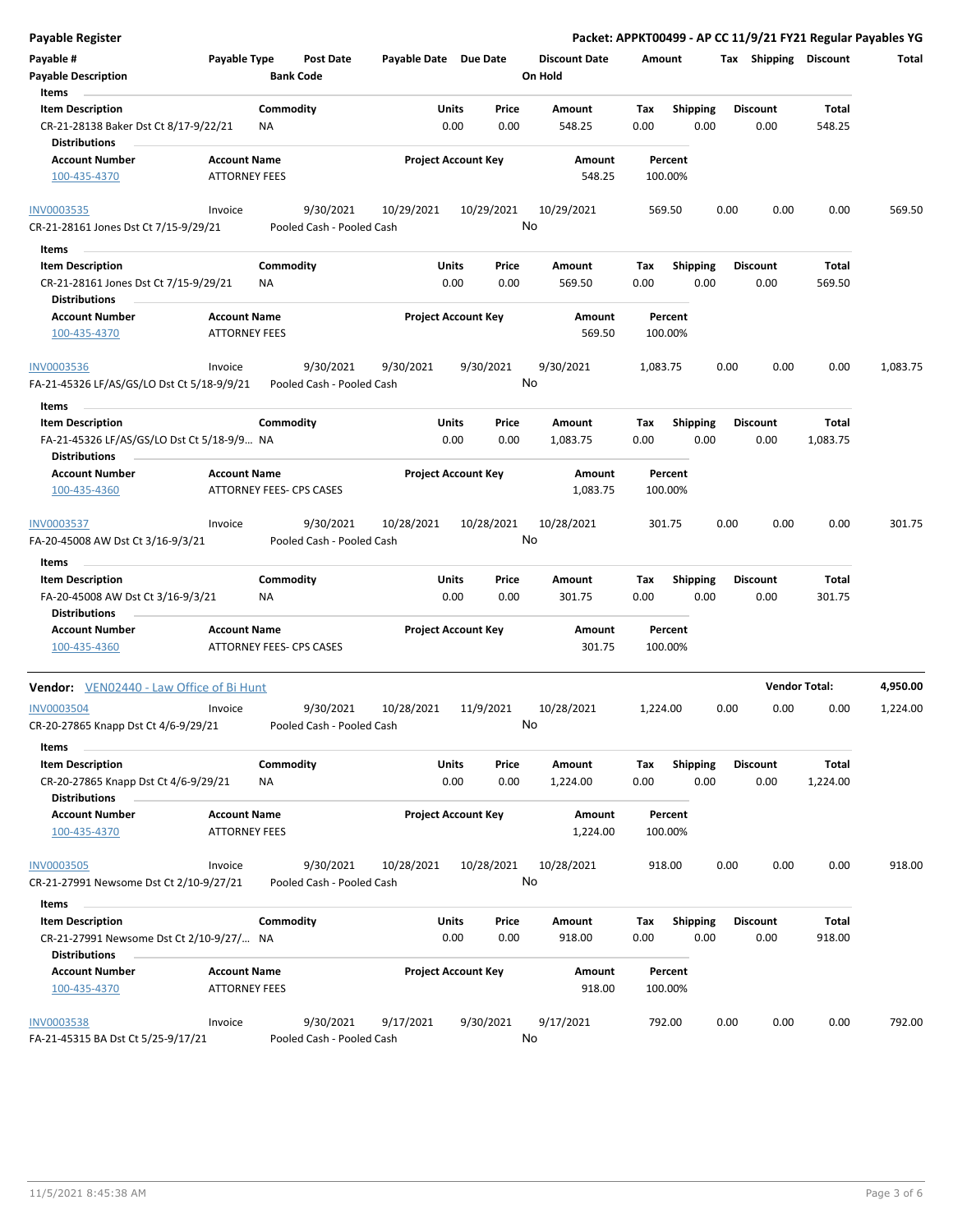| <b>Payable Register</b>                                                                               |                                             |                                        |                       |                            |                                 | Packet: APPKT00499 - AP CC 11/9/21 FY21 Regular Payables YG |      |                         |                      |          |
|-------------------------------------------------------------------------------------------------------|---------------------------------------------|----------------------------------------|-----------------------|----------------------------|---------------------------------|-------------------------------------------------------------|------|-------------------------|----------------------|----------|
| Payable #<br><b>Payable Description</b>                                                               | Payable Type                                | <b>Post Date</b><br><b>Bank Code</b>   | Payable Date Due Date |                            | <b>Discount Date</b><br>On Hold | Amount                                                      |      | Tax Shipping Discount   |                      | Total    |
| Items<br><b>Item Description</b><br>CR-21-28138 Baker Dst Ct 8/17-9/22/21                             |                                             | Commodity<br>NA                        | Units<br>0.00         | Price<br>0.00              | Amount<br>548.25                | <b>Shipping</b><br>Tax<br>0.00                              | 0.00 | <b>Discount</b><br>0.00 | Total<br>548.25      |          |
| <b>Distributions</b><br><b>Account Number</b><br>100-435-4370                                         | <b>Account Name</b><br><b>ATTORNEY FEES</b> |                                        |                       | <b>Project Account Key</b> | Amount<br>548.25                | Percent<br>100.00%                                          |      |                         |                      |          |
| <b>INV0003535</b><br>CR-21-28161 Jones Dst Ct 7/15-9/29/21                                            | Invoice                                     | 9/30/2021<br>Pooled Cash - Pooled Cash | 10/29/2021            | 10/29/2021                 | 10/29/2021<br>No                | 569.50                                                      | 0.00 | 0.00                    | 0.00                 | 569.50   |
| Items                                                                                                 |                                             |                                        |                       |                            |                                 |                                                             |      |                         |                      |          |
| <b>Item Description</b><br>CR-21-28161 Jones Dst Ct 7/15-9/29/21<br><b>Distributions</b>              |                                             | Commodity<br><b>NA</b>                 | Units<br>0.00         | Price<br>0.00              | Amount<br>569.50                | <b>Shipping</b><br>Tax<br>0.00                              | 0.00 | <b>Discount</b><br>0.00 | Total<br>569.50      |          |
| <b>Account Number</b><br>100-435-4370                                                                 | <b>Account Name</b><br><b>ATTORNEY FEES</b> |                                        |                       | <b>Project Account Key</b> | Amount<br>569.50                | Percent<br>100.00%                                          |      |                         |                      |          |
| <b>INV0003536</b><br>FA-21-45326 LF/AS/GS/LO Dst Ct 5/18-9/9/21                                       | Invoice                                     | 9/30/2021<br>Pooled Cash - Pooled Cash | 9/30/2021             | 9/30/2021                  | 9/30/2021<br>No                 | 1,083.75                                                    | 0.00 | 0.00                    | 0.00                 | 1,083.75 |
| Items<br><b>Item Description</b><br>FA-21-45326 LF/AS/GS/LO Dst Ct 5/18-9/9 NA                        |                                             | Commodity                              | Units<br>0.00         | Price<br>0.00              | Amount<br>1,083.75              | <b>Shipping</b><br>Tax<br>0.00                              | 0.00 | <b>Discount</b><br>0.00 | Total<br>1,083.75    |          |
| <b>Distributions</b><br><b>Account Number</b><br>100-435-4360                                         | <b>Account Name</b>                         | ATTORNEY FEES- CPS CASES               |                       | <b>Project Account Key</b> | Amount<br>1,083.75              | Percent<br>100.00%                                          |      |                         |                      |          |
| INV0003537<br>FA-20-45008 AW Dst Ct 3/16-9/3/21                                                       | Invoice                                     | 9/30/2021<br>Pooled Cash - Pooled Cash | 10/28/2021            | 10/28/2021                 | 10/28/2021<br>No                | 301.75                                                      | 0.00 | 0.00                    | 0.00                 | 301.75   |
| Items                                                                                                 |                                             |                                        |                       |                            |                                 |                                                             |      |                         |                      |          |
| <b>Item Description</b><br>FA-20-45008 AW Dst Ct 3/16-9/3/21<br><b>Distributions</b>                  |                                             | Commodity<br>ΝA                        | Units<br>0.00         | Price<br>0.00              | Amount<br>301.75                | Tax<br><b>Shipping</b><br>0.00                              | 0.00 | <b>Discount</b><br>0.00 | Total<br>301.75      |          |
| <b>Account Number</b><br>100-435-4360                                                                 | <b>Account Name</b>                         | <b>ATTORNEY FEES- CPS CASES</b>        |                       | <b>Project Account Key</b> | Amount<br>301.75                | Percent<br>100.00%                                          |      |                         |                      |          |
|                                                                                                       |                                             |                                        |                       |                            |                                 |                                                             |      |                         | <b>Vendor Total:</b> | 4,950.00 |
| <b>Vendor:</b> VEN02440 - Law Office of Bi Hunt<br>INV0003504<br>CR-20-27865 Knapp Dst Ct 4/6-9/29/21 | Invoice                                     | 9/30/2021<br>Pooled Cash - Pooled Cash | 10/28/2021            | 11/9/2021                  | 10/28/2021<br>No                | 1,224.00                                                    | 0.00 | 0.00                    | 0.00                 | 1,224.00 |
| Items<br><b>Item Description</b><br>CR-20-27865 Knapp Dst Ct 4/6-9/29/21                              |                                             | Commodity<br>ΝA                        | Units<br>0.00         | Price<br>0.00              | Amount<br>1,224.00              | Tax<br>Shipping<br>0.00                                     | 0.00 | <b>Discount</b><br>0.00 | Total<br>1,224.00    |          |
| <b>Distributions</b><br><b>Account Number</b><br>100-435-4370                                         | <b>Account Name</b><br><b>ATTORNEY FEES</b> |                                        |                       | <b>Project Account Key</b> | Amount<br>1,224.00              | Percent<br>100.00%                                          |      |                         |                      |          |
| <b>INV0003505</b><br>CR-21-27991 Newsome Dst Ct 2/10-9/27/21                                          | Invoice                                     | 9/30/2021<br>Pooled Cash - Pooled Cash | 10/28/2021            | 10/28/2021                 | 10/28/2021<br>No                | 918.00                                                      | 0.00 | 0.00                    | 0.00                 | 918.00   |
| Items                                                                                                 |                                             |                                        |                       |                            |                                 |                                                             |      |                         |                      |          |
| <b>Item Description</b><br>CR-21-27991 Newsome Dst Ct 2/10-9/27/ NA                                   |                                             | Commodity                              | Units<br>0.00         | Price<br>0.00              | Amount<br>918.00                | Shipping<br>Tax<br>0.00                                     | 0.00 | <b>Discount</b><br>0.00 | Total<br>918.00      |          |
| <b>Distributions</b><br><b>Account Number</b><br>100-435-4370                                         | <b>Account Name</b><br><b>ATTORNEY FEES</b> |                                        |                       | <b>Project Account Key</b> | Amount<br>918.00                | Percent<br>100.00%                                          |      |                         |                      |          |
| <b>INV0003538</b><br>FA-21-45315 BA Dst Ct 5/25-9/17/21                                               | Invoice                                     | 9/30/2021<br>Pooled Cash - Pooled Cash | 9/17/2021             | 9/30/2021                  | 9/17/2021<br>No                 | 792.00                                                      | 0.00 | 0.00                    | 0.00                 | 792.00   |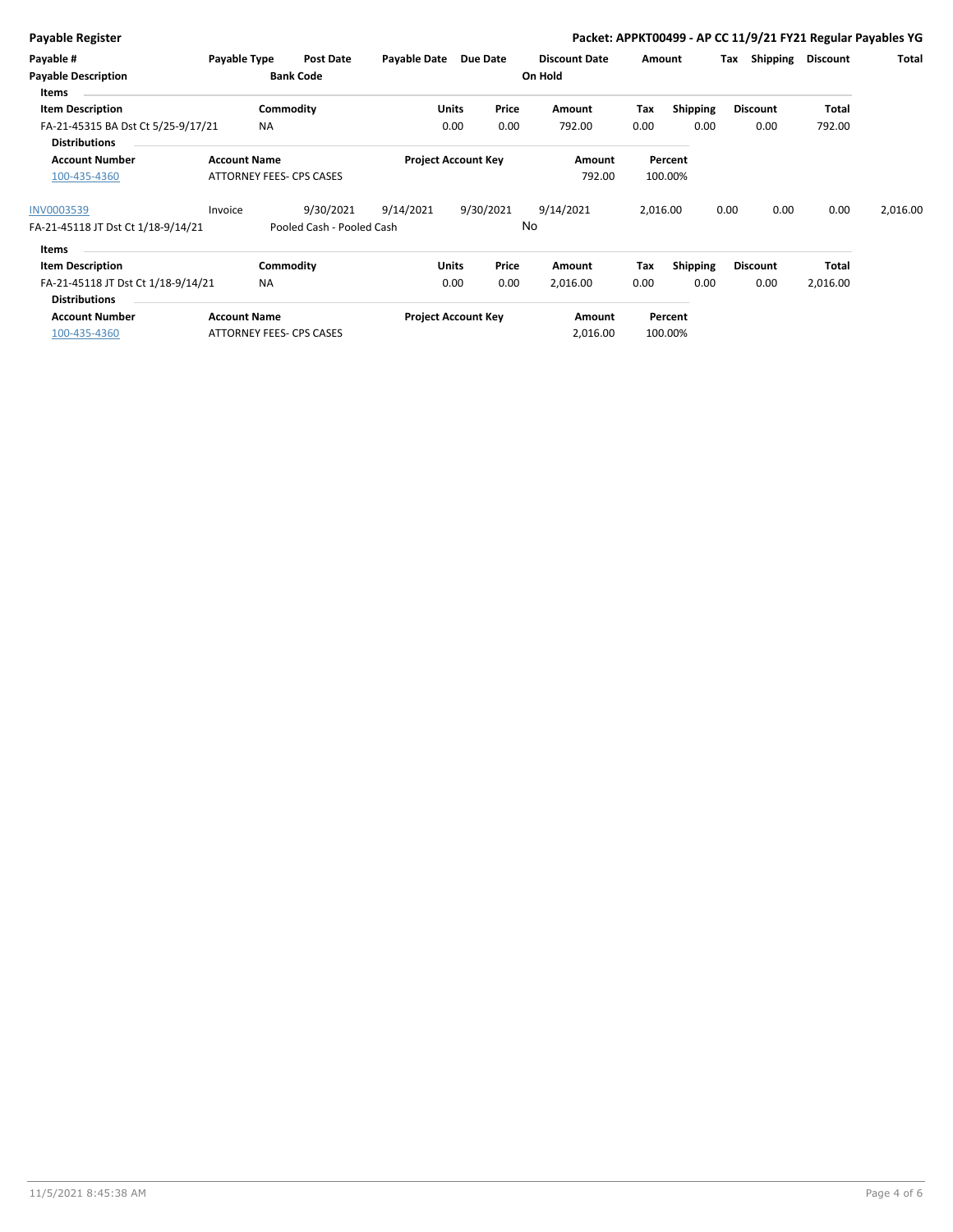| <b>Payable Register</b>             |                     |                           |              |                            |           |                      |          |                 | Packet: APPKT00499 - AP CC 11/9/21 FY21 Regular Payables YG |                 |          |
|-------------------------------------|---------------------|---------------------------|--------------|----------------------------|-----------|----------------------|----------|-----------------|-------------------------------------------------------------|-----------------|----------|
| Payable #                           | Payable Type        | <b>Post Date</b>          | Payable Date |                            | Due Date  | <b>Discount Date</b> | Amount   |                 | Shipping<br>Tax                                             | <b>Discount</b> | Total    |
| <b>Payable Description</b><br>Items |                     | <b>Bank Code</b>          |              |                            |           | On Hold              |          |                 |                                                             |                 |          |
| <b>Item Description</b>             |                     | Commodity                 |              | <b>Units</b>               | Price     | Amount               | Tax      | <b>Shipping</b> | <b>Discount</b>                                             | Total           |          |
| FA-21-45315 BA Dst Ct 5/25-9/17/21  |                     | <b>NA</b>                 |              | 0.00                       | 0.00      | 792.00               | 0.00     | 0.00            | 0.00                                                        | 792.00          |          |
| <b>Distributions</b>                |                     |                           |              |                            |           |                      |          |                 |                                                             |                 |          |
| <b>Account Number</b>               | <b>Account Name</b> |                           |              | <b>Project Account Key</b> |           | Amount               |          | Percent         |                                                             |                 |          |
| 100-435-4360                        |                     | ATTORNEY FEES- CPS CASES  |              |                            |           | 792.00               |          | 100.00%         |                                                             |                 |          |
| <b>INV0003539</b>                   | Invoice             | 9/30/2021                 | 9/14/2021    |                            | 9/30/2021 | 9/14/2021            | 2,016.00 |                 | 0.00<br>0.00                                                | 0.00            | 2,016.00 |
| FA-21-45118 JT Dst Ct 1/18-9/14/21  |                     | Pooled Cash - Pooled Cash |              |                            |           | No                   |          |                 |                                                             |                 |          |
| Items                               |                     |                           |              |                            |           |                      |          |                 |                                                             |                 |          |
| <b>Item Description</b>             |                     | Commodity                 |              | Units                      | Price     | Amount               | Tax      | <b>Shipping</b> | <b>Discount</b>                                             | Total           |          |
| FA-21-45118 JT Dst Ct 1/18-9/14/21  |                     | <b>NA</b>                 |              | 0.00                       | 0.00      | 2,016.00             | 0.00     | 0.00            | 0.00                                                        | 2,016.00        |          |
| <b>Distributions</b>                |                     |                           |              |                            |           |                      |          |                 |                                                             |                 |          |
| <b>Account Number</b>               | <b>Account Name</b> |                           |              | <b>Project Account Key</b> |           | Amount               |          | Percent         |                                                             |                 |          |
| 100-435-4360                        |                     | ATTORNEY FEES- CPS CASES  |              |                            |           | 2,016.00             |          | 100.00%         |                                                             |                 |          |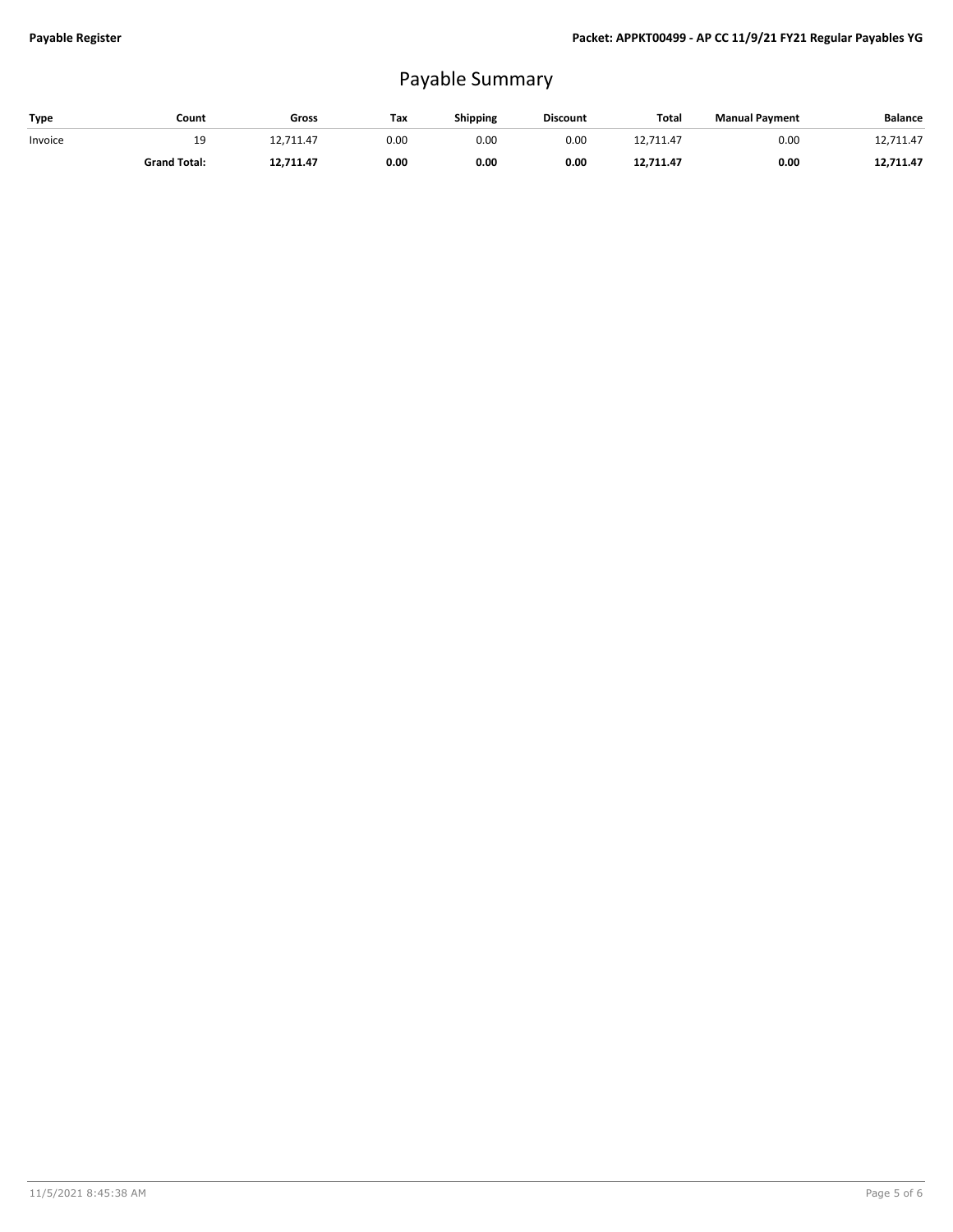# Payable Summary

| Type    | Count               | Gross     | Tax  | <b>Shipping</b> | <b>Discount</b> | <b>Total</b> | <b>Manual Payment</b> | <b>Balance</b> |
|---------|---------------------|-----------|------|-----------------|-----------------|--------------|-----------------------|----------------|
| Invoice | 19                  | 12,711.47 | 0.00 | 0.00            | 0.00            | 12,711.47    | 0.00                  | 12,711.47      |
|         | <b>Grand Total:</b> | 12,711.47 | 0.00 | 0.00            | 0.00            | 12.711.47    | 0.00                  | 12,711.47      |